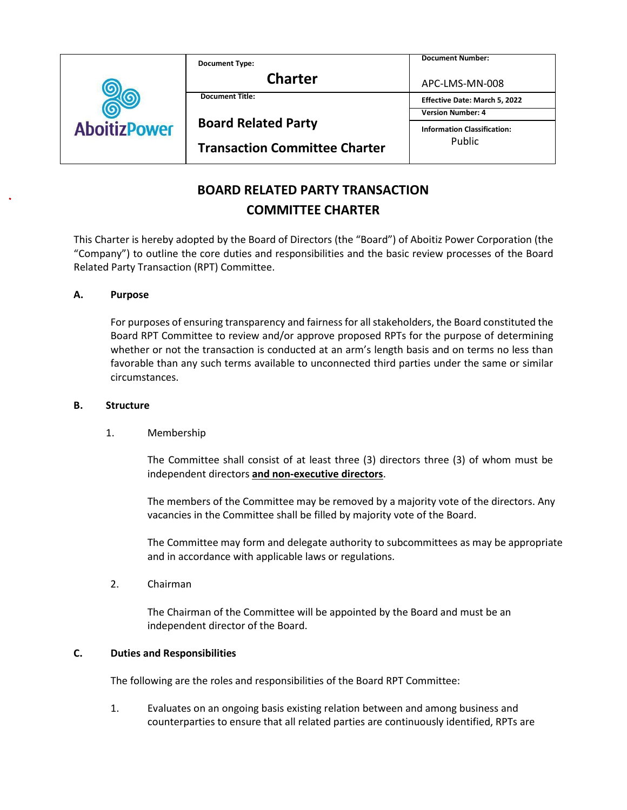|                     | <b>Document Type:</b>                | <b>Document Number:</b>                      |
|---------------------|--------------------------------------|----------------------------------------------|
| <b>AboitizPower</b> | <b>Charter</b>                       | APC-LMS-MN-008                               |
|                     | <b>Document Title:</b>               | Effective Date: March 5, 2022                |
|                     | <b>Board Related Party</b>           | <b>Version Number: 4</b>                     |
|                     |                                      | <b>Information Classification:</b><br>Public |
|                     | <b>Transaction Committee Charter</b> |                                              |

# **BOARD RELATED PARTY TRANSACTION COMMITTEE CHARTER**

This Charter is hereby adopted by the Board of Directors (the "Board") of Aboitiz Power Corporation (the "Company") to outline the core duties and responsibilities and the basic review processes of the Board Related Party Transaction (RPT) Committee.

# **A. Purpose**

For purposes of ensuring transparency and fairness for all stakeholders, the Board constituted the Board RPT Committee to review and/or approve proposed RPTs for the purpose of determining whether or not the transaction is conducted at an arm's length basis and on terms no less than favorable than any such terms available to unconnected third parties under the same or similar circumstances.

## **B. Structure**

# 1. Membership

The Committee shall consist of at least three (3) directors three (3) of whom must be independent directors **and non-executive directors**.

The members of the Committee may be removed by a majority vote of the directors. Any vacancies in the Committee shall be filled by majority vote of the Board.

The Committee may form and delegate authority to subcommittees as may be appropriate and in accordance with applicable laws or regulations.

2. Chairman

The Chairman of the Committee will be appointed by the Board and must be an independent director of the Board.

# **C. Duties and Responsibilities**

The following are the roles and responsibilities of the Board RPT Committee:

1. Evaluates on an ongoing basis existing relation between and among business and counterparties to ensure that all related parties are continuously identified, RPTs are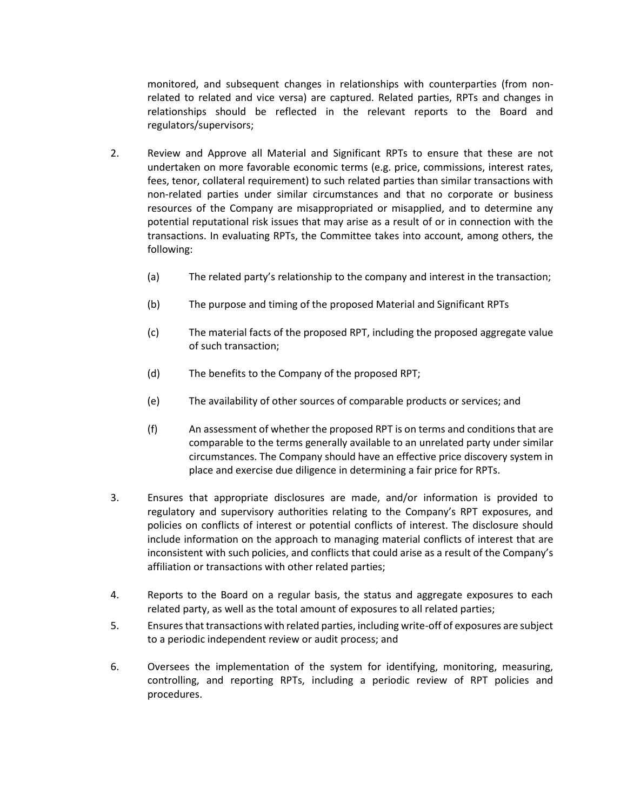monitored, and subsequent changes in relationships with counterparties (from nonrelated to related and vice versa) are captured. Related parties, RPTs and changes in relationships should be reflected in the relevant reports to the Board and regulators/supervisors;

- 2. Review and Approve all Material and Significant RPTs to ensure that these are not undertaken on more favorable economic terms (e.g. price, commissions, interest rates, fees, tenor, collateral requirement) to such related parties than similar transactions with non-related parties under similar circumstances and that no corporate or business resources of the Company are misappropriated or misapplied, and to determine any potential reputational risk issues that may arise as a result of or in connection with the transactions. In evaluating RPTs, the Committee takes into account, among others, the following:
	- (a) The related party's relationship to the company and interest in the transaction;
	- (b) The purpose and timing of the proposed Material and Significant RPTs
	- (c) The material facts of the proposed RPT, including the proposed aggregate value of such transaction;
	- (d) The benefits to the Company of the proposed RPT;
	- (e) The availability of other sources of comparable products or services; and
	- (f) An assessment of whether the proposed RPT is on terms and conditions that are comparable to the terms generally available to an unrelated party under similar circumstances. The Company should have an effective price discovery system in place and exercise due diligence in determining a fair price for RPTs.
- 3. Ensures that appropriate disclosures are made, and/or information is provided to regulatory and supervisory authorities relating to the Company's RPT exposures, and policies on conflicts of interest or potential conflicts of interest. The disclosure should include information on the approach to managing material conflicts of interest that are inconsistent with such policies, and conflicts that could arise as a result of the Company's affiliation or transactions with other related parties;
- 4. Reports to the Board on a regular basis, the status and aggregate exposures to each related party, as well as the total amount of exposures to all related parties;
- 5. Ensures that transactions with related parties, including write-off of exposures are subject to a periodic independent review or audit process; and
- 6. Oversees the implementation of the system for identifying, monitoring, measuring, controlling, and reporting RPTs, including a periodic review of RPT policies and procedures.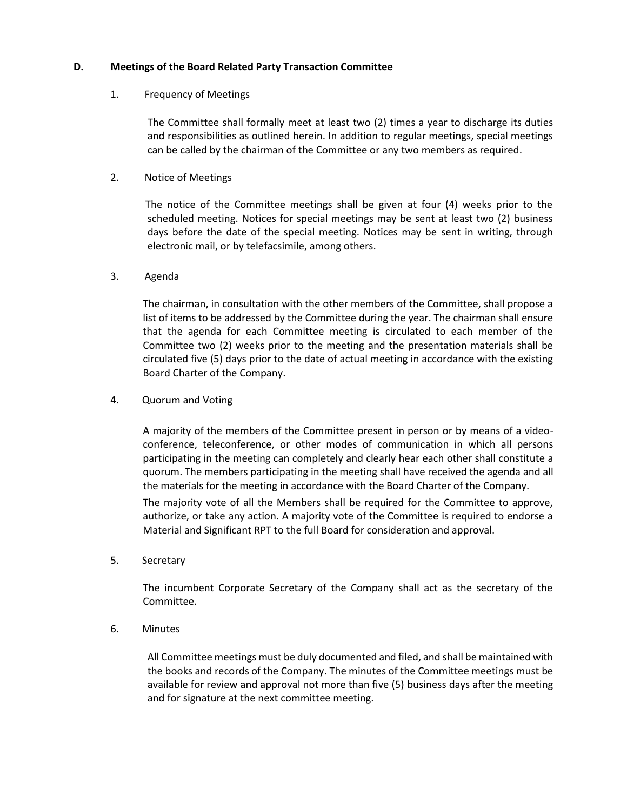## **D. Meetings of the Board Related Party Transaction Committee**

# 1. Frequency of Meetings

The Committee shall formally meet at least two (2) times a year to discharge its duties and responsibilities as outlined herein. In addition to regular meetings, special meetings can be called by the chairman of the Committee or any two members as required.

## 2. Notice of Meetings

The notice of the Committee meetings shall be given at four (4) weeks prior to the scheduled meeting. Notices for special meetings may be sent at least two (2) business days before the date of the special meeting. Notices may be sent in writing, through electronic mail, or by telefacsimile, among others.

#### 3. Agenda

The chairman, in consultation with the other members of the Committee, shall propose a list of items to be addressed by the Committee during the year. The chairman shall ensure that the agenda for each Committee meeting is circulated to each member of the Committee two (2) weeks prior to the meeting and the presentation materials shall be circulated five (5) days prior to the date of actual meeting in accordance with the existing Board Charter of the Company.

## 4. Quorum and Voting

A majority of the members of the Committee present in person or by means of a videoconference, teleconference, or other modes of communication in which all persons participating in the meeting can completely and clearly hear each other shall constitute a quorum. The members participating in the meeting shall have received the agenda and all the materials for the meeting in accordance with the Board Charter of the Company.

The majority vote of all the Members shall be required for the Committee to approve, authorize, or take any action. A majority vote of the Committee is required to endorse a Material and Significant RPT to the full Board for consideration and approval.

5. Secretary

The incumbent Corporate Secretary of the Company shall act as the secretary of the Committee.

6. Minutes

All Committee meetings must be duly documented and filed, and shall be maintained with the books and records of the Company. The minutes of the Committee meetings must be available for review and approval not more than five (5) business days after the meeting and for signature at the next committee meeting.